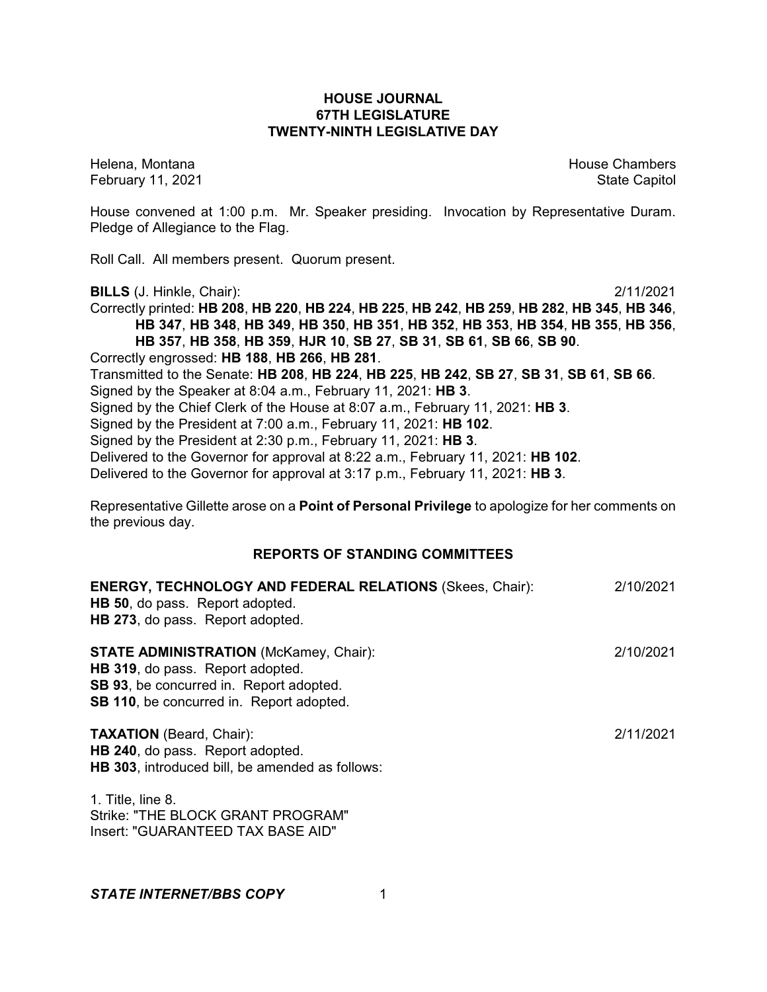## **HOUSE JOURNAL 67TH LEGISLATURE TWENTY-NINTH LEGISLATIVE DAY**

February 11, 2021 **State Capitol** 

Helena, Montana House Chambers Chambers Chambers and House Chambers Chambers Chambers Chambers Chambers Chambers Chambers Chambers Chambers Chambers Chambers Chambers Chambers Chambers Chambers Chambers Chambers Chambers C

House convened at 1:00 p.m. Mr. Speaker presiding. Invocation by Representative Duram. Pledge of Allegiance to the Flag.

Roll Call. All members present. Quorum present.

**BILLS** (J. Hinkle, Chair): 2/11/2021

Correctly printed: **HB 208**, **HB 220**, **HB 224**, **HB 225**, **HB 242**, **HB 259**, **HB 282**, **HB 345**, **HB 346**, **HB 347**, **HB 348**, **HB 349**, **HB 350**, **HB 351**, **HB 352**, **HB 353**, **HB 354**, **HB 355**, **HB 356**, **HB 357**, **HB 358**, **HB 359**, **HJR 10**, **SB 27**, **SB 31**, **SB 61**, **SB 66**, **SB 90**. Correctly engrossed: **HB 188**, **HB 266**, **HB 281**. Transmitted to the Senate: **HB 208**, **HB 224**, **HB 225**, **HB 242**, **SB 27**, **SB 31**, **SB 61**, **SB 66**. Signed by the Speaker at 8:04 a.m., February 11, 2021: **HB 3**. Signed by the Chief Clerk of the House at 8:07 a.m., February 11, 2021: **HB 3**. Signed by the President at 7:00 a.m., February 11, 2021: **HB 102**. Signed by the President at 2:30 p.m., February 11, 2021: **HB 3**. Delivered to the Governor for approval at 8:22 a.m., February 11, 2021: **HB 102**. Delivered to the Governor for approval at 3:17 p.m., February 11, 2021: **HB 3**.

Representative Gillette arose on a **Point of Personal Privilege** to apologize for her comments on the previous day.

# **REPORTS OF STANDING COMMITTEES**

| <b>ENERGY, TECHNOLOGY AND FEDERAL RELATIONS (Skees, Chair):</b><br><b>HB 50, do pass. Report adopted.</b><br>HB 273, do pass. Report adopted.                                   | 2/10/2021 |
|---------------------------------------------------------------------------------------------------------------------------------------------------------------------------------|-----------|
| <b>STATE ADMINISTRATION (McKamey, Chair):</b><br>HB 319, do pass. Report adopted.<br>SB 93, be concurred in. Report adopted.<br><b>SB 110, be concurred in. Report adopted.</b> | 2/10/2021 |
| <b>TAXATION</b> (Beard, Chair):<br>HB 240, do pass. Report adopted.<br>HB 303, introduced bill, be amended as follows:                                                          | 2/11/2021 |
| 1. Title, line 8.<br>Strike: "THE BLOCK GRANT PROGRAM"<br>Insert: "GUARANTEED TAX BASE AID"                                                                                     |           |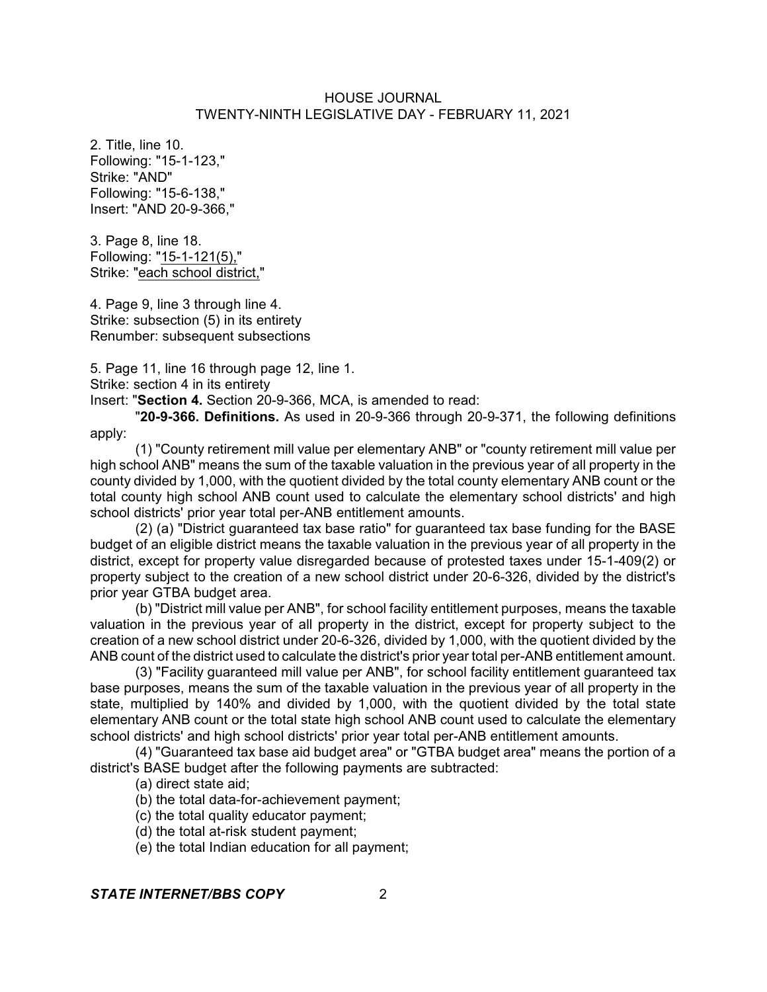2. Title, line 10. Following: "15-1-123," Strike: "AND" Following: "15-6-138," Insert: "AND 20-9-366,"

3. Page 8, line 18. Following: "15-1-121(5)," Strike: "each school district,"

4. Page 9, line 3 through line 4. Strike: subsection (5) in its entirety Renumber: subsequent subsections

5. Page 11, line 16 through page 12, line 1.

Strike: section 4 in its entirety

Insert: "**Section 4.** Section 20-9-366, MCA, is amended to read:

"**20-9-366. Definitions.** As used in 20-9-366 through 20-9-371, the following definitions apply:

(1) "County retirement mill value per elementary ANB" or "county retirement mill value per high school ANB" means the sum of the taxable valuation in the previous year of all property in the county divided by 1,000, with the quotient divided by the total county elementary ANB count or the total county high school ANB count used to calculate the elementary school districts' and high school districts' prior year total per-ANB entitlement amounts.

(2) (a) "District guaranteed tax base ratio" for guaranteed tax base funding for the BASE budget of an eligible district means the taxable valuation in the previous year of all property in the district, except for property value disregarded because of protested taxes under 15-1-409(2) or property subject to the creation of a new school district under 20-6-326, divided by the district's prior year GTBA budget area.

(b) "District mill value per ANB", for school facility entitlement purposes, means the taxable valuation in the previous year of all property in the district, except for property subject to the creation of a new school district under 20-6-326, divided by 1,000, with the quotient divided by the ANB count of the district used to calculate the district's prior year total per-ANB entitlement amount.

(3) "Facility guaranteed mill value per ANB", for school facility entitlement guaranteed tax base purposes, means the sum of the taxable valuation in the previous year of all property in the state, multiplied by 140% and divided by 1,000, with the quotient divided by the total state elementary ANB count or the total state high school ANB count used to calculate the elementary school districts' and high school districts' prior year total per-ANB entitlement amounts.

(4) "Guaranteed tax base aid budget area" or "GTBA budget area" means the portion of a district's BASE budget after the following payments are subtracted:

(a) direct state aid;

(b) the total data-for-achievement payment;

(c) the total quality educator payment;

(d) the total at-risk student payment;

(e) the total Indian education for all payment;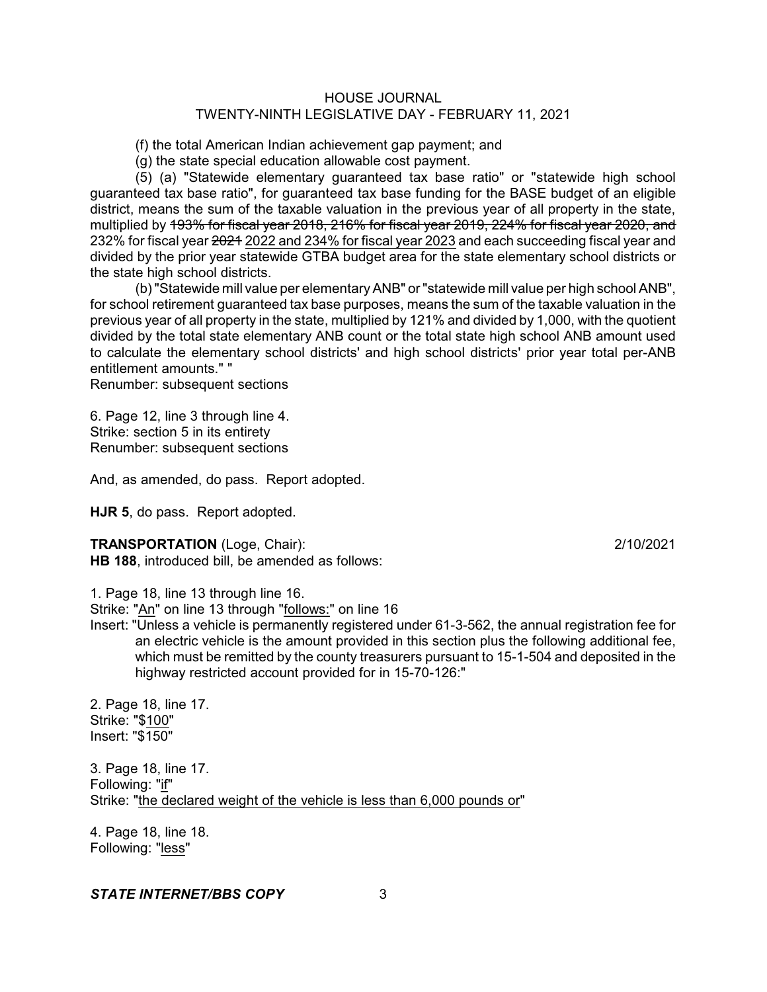(f) the total American Indian achievement gap payment; and

(g) the state special education allowable cost payment.

(5) (a) "Statewide elementary guaranteed tax base ratio" or "statewide high school guaranteed tax base ratio", for guaranteed tax base funding for the BASE budget of an eligible district, means the sum of the taxable valuation in the previous year of all property in the state, multiplied by 193% for fiscal year 2018, 216% for fiscal year 2019, 224% for fiscal year 2020, and 232% for fiscal year 2021 2022 and 234% for fiscal year 2023 and each succeeding fiscal year and divided by the prior year statewide GTBA budget area for the state elementary school districts or the state high school districts.

(b)"Statewide mill value per elementaryANB" or"statewide mill value per high school ANB", for school retirement guaranteed tax base purposes, means the sum of the taxable valuation in the previous year of all property in the state, multiplied by 121% and divided by 1,000, with the quotient divided by the total state elementary ANB count or the total state high school ANB amount used to calculate the elementary school districts' and high school districts' prior year total per-ANB entitlement amounts." "

Renumber: subsequent sections

6. Page 12, line 3 through line 4. Strike: section 5 in its entirety Renumber: subsequent sections

And, as amended, do pass. Report adopted.

**HJR 5**, do pass. Report adopted.

#### **TRANSPORTATION** (Loge, Chair): 2/10/2021

**HB 188**, introduced bill, be amended as follows:

1. Page 18, line 13 through line 16.

Strike: "An" on line 13 through "follows:" on line 16

Insert: "Unless a vehicle is permanently registered under 61-3-562, the annual registration fee for an electric vehicle is the amount provided in this section plus the following additional fee, which must be remitted by the county treasurers pursuant to 15-1-504 and deposited in the highway restricted account provided for in 15-70-126:"

2. Page 18, line 17. Strike: "\$100" Insert: "\$150"

3. Page 18, line 17. Following: "if" Strike: "the declared weight of the vehicle is less than 6,000 pounds or"

4. Page 18, line 18. Following: "less"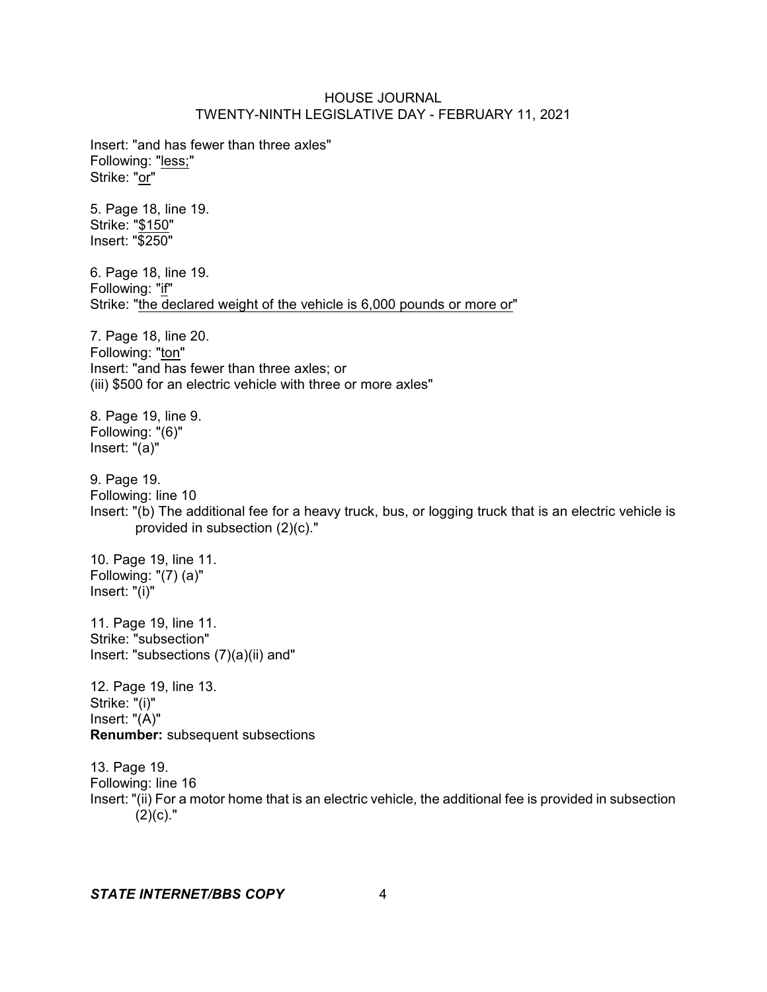Insert: "and has fewer than three axles" Following: "less;" Strike: "or"

5. Page 18, line 19. Strike: "\$150" Insert: "\$250"

6. Page 18, line 19. Following: "if" Strike: "the declared weight of the vehicle is 6,000 pounds or more or"

7. Page 18, line 20. Following: "ton" Insert: "and has fewer than three axles; or (iii) \$500 for an electric vehicle with three or more axles"

8. Page 19, line 9. Following: "(6)" Insert: "(a)"

9. Page 19. Following: line 10 Insert: "(b) The additional fee for a heavy truck, bus, or logging truck that is an electric vehicle is provided in subsection (2)(c)."

10. Page 19, line 11. Following: "(7) (a)" Insert: "(i)"

11. Page 19, line 11. Strike: "subsection" Insert: "subsections (7)(a)(ii) and"

12. Page 19, line 13. Strike: "(i)" Insert: "(A)" **Renumber:** subsequent subsections

13. Page 19. Following: line 16 Insert: "(ii) For a motor home that is an electric vehicle, the additional fee is provided in subsection  $(2)(c)$ ."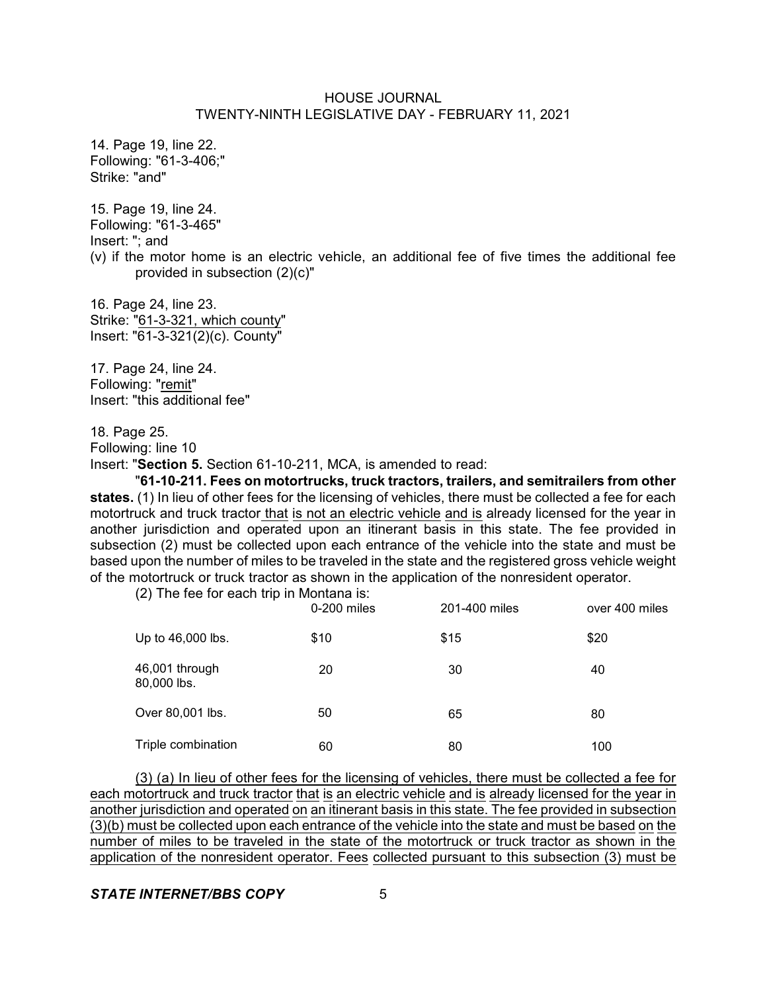14. Page 19, line 22. Following: "61-3-406;" Strike: "and"

15. Page 19, line 24. Following: "61-3-465" Insert: "; and (v) if the motor home is an electric vehicle, an additional fee of five times the additional fee provided in subsection (2)(c)"

16. Page 24, line 23. Strike: "61-3-321, which county" Insert: "61-3-321(2)(c). County"

17. Page 24, line 24. Following: "remit" Insert: "this additional fee"

18. Page 25.

Following: line 10

Insert: "**Section 5.** Section 61-10-211, MCA, is amended to read:

"**61-10-211. Fees on motortrucks, truck tractors, trailers, and semitrailers from other states.** (1) In lieu of other fees for the licensing of vehicles, there must be collected a fee for each motortruck and truck tractor that is not an electric vehicle and is already licensed for the year in another jurisdiction and operated upon an itinerant basis in this state. The fee provided in subsection (2) must be collected upon each entrance of the vehicle into the state and must be based upon the number of miles to be traveled in the state and the registered gross vehicle weight of the motortruck or truck tractor as shown in the application of the nonresident operator.

(2) The fee for each trip in Montana is:

|                               | 0-200 miles | 201-400 miles | over 400 miles |
|-------------------------------|-------------|---------------|----------------|
| Up to 46,000 lbs.             | \$10        | \$15          | \$20           |
| 46,001 through<br>80,000 lbs. | 20          | 30            | 40             |
| Over 80,001 lbs.              | 50          | 65            | 80             |
| Triple combination            | 60          | 80            | 100            |

(3) (a) In lieu of other fees for the licensing of vehicles, there must be collected a fee for each motortruck and truck tractor that is an electric vehicle and is already licensed for the year in another jurisdiction and operated on an itinerant basis in this state. The fee provided in subsection (3)(b) must be collected upon each entrance of the vehicle into the state and must be based on the number of miles to be traveled in the state of the motortruck or truck tractor as shown in the application of the nonresident operator. Fees collected pursuant to this subsection (3) must be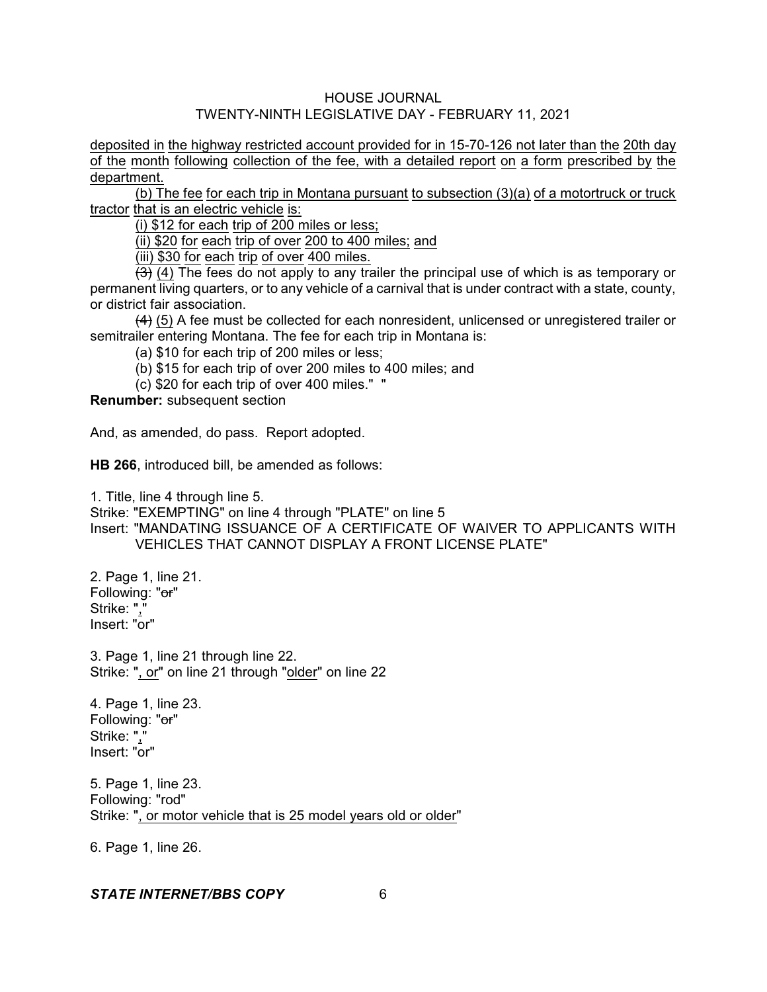deposited in the highway restricted account provided for in 15-70-126 not later than the 20th day of the month following collection of the fee, with a detailed report on a form prescribed by the department.

(b) The fee for each trip in Montana pursuant to subsection (3)(a) of a motortruck or truck tractor that is an electric vehicle is:

(i) \$12 for each trip of 200 miles or less;

(ii) \$20 for each trip of over 200 to 400 miles; and

(iii) \$30 for each trip of over 400 miles.

 $\overline{3}$  (4) The fees do not apply to any trailer the principal use of which is as temporary or permanent living quarters, or to any vehicle of a carnival that is under contract with a state, county, or district fair association.

 $(4)$  (5) A fee must be collected for each nonresident, unlicensed or unregistered trailer or semitrailer entering Montana. The fee for each trip in Montana is:

(a) \$10 for each trip of 200 miles or less;

(b) \$15 for each trip of over 200 miles to 400 miles; and

(c) \$20 for each trip of over 400 miles." "

**Renumber:** subsequent section

And, as amended, do pass. Report adopted.

**HB 266**, introduced bill, be amended as follows:

1. Title, line 4 through line 5.

Strike: "EXEMPTING" on line 4 through "PLATE" on line 5

Insert: "MANDATING ISSUANCE OF A CERTIFICATE OF WAIVER TO APPLICANTS WITH VEHICLES THAT CANNOT DISPLAY A FRONT LICENSE PLATE"

2. Page 1, line 21. Following: "or" Strike: "," Insert: "or"

3. Page 1, line 21 through line 22. Strike: ", or" on line 21 through "older" on line 22

4. Page 1, line 23. Following: "or" Strike: "," Insert: "or"

5. Page 1, line 23. Following: "rod" Strike: ", or motor vehicle that is 25 model years old or older"

6. Page 1, line 26.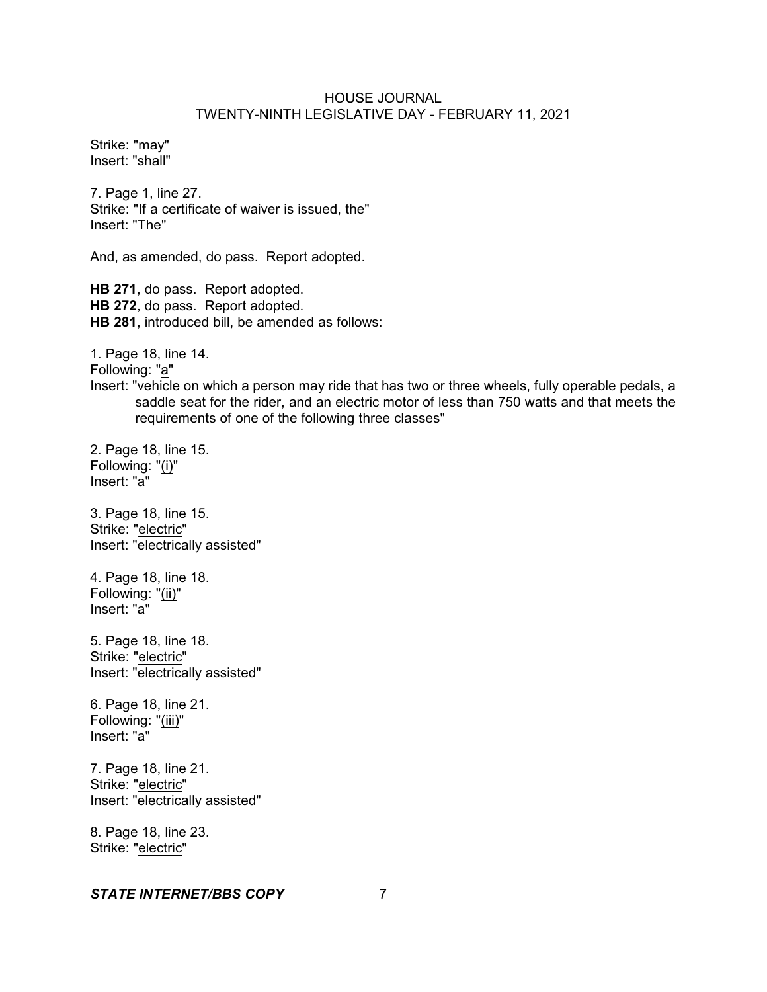Strike: "may" Insert: "shall"

7. Page 1, line 27. Strike: "If a certificate of waiver is issued, the" Insert: "The"

And, as amended, do pass. Report adopted.

**HB 271**, do pass. Report adopted. **HB 272**, do pass. Report adopted. **HB 281**, introduced bill, be amended as follows:

1. Page 18, line 14.

Following: "a"

Insert: "vehicle on which a person may ride that has two or three wheels, fully operable pedals, a saddle seat for the rider, and an electric motor of less than 750 watts and that meets the requirements of one of the following three classes"

2. Page 18, line 15. Following: "(i)" Insert: "a"

3. Page 18, line 15. Strike: "electric" Insert: "electrically assisted"

4. Page 18, line 18. Following: "(ii)" Insert: "a"

5. Page 18, line 18. Strike: "electric" Insert: "electrically assisted"

6. Page 18, line 21. Following: "(iii)" Insert: "a"

7. Page 18, line 21. Strike: "electric" Insert: "electrically assisted"

8. Page 18, line 23. Strike: "electric"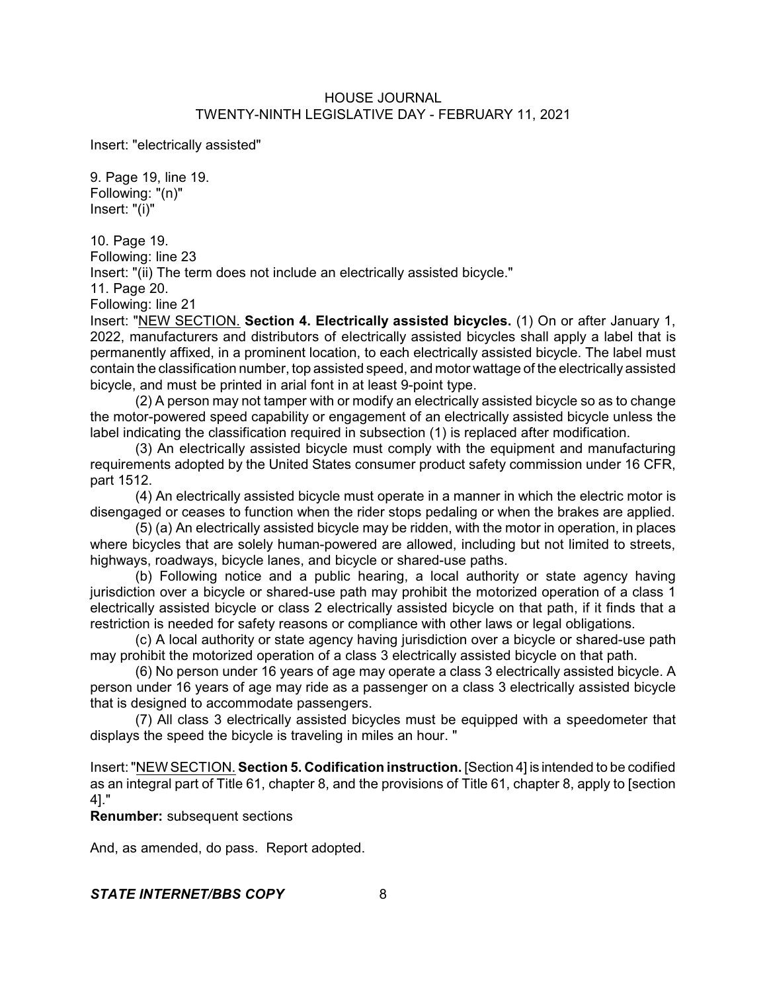Insert: "electrically assisted"

9. Page 19, line 19. Following: "(n)" Insert: "(i)"

10. Page 19. Following: line 23 Insert: "(ii) The term does not include an electrically assisted bicycle." 11. Page 20.

Following: line 21

Insert: "NEW SECTION. **Section 4. Electrically assisted bicycles.** (1) On or after January 1, 2022, manufacturers and distributors of electrically assisted bicycles shall apply a label that is permanently affixed, in a prominent location, to each electrically assisted bicycle. The label must contain the classification number, top assisted speed, and motor wattage of the electrically assisted bicycle, and must be printed in arial font in at least 9-point type.

(2) A person may not tamper with or modify an electrically assisted bicycle so as to change the motor-powered speed capability or engagement of an electrically assisted bicycle unless the label indicating the classification required in subsection (1) is replaced after modification.

(3) An electrically assisted bicycle must comply with the equipment and manufacturing requirements adopted by the United States consumer product safety commission under 16 CFR, part 1512.

(4) An electrically assisted bicycle must operate in a manner in which the electric motor is disengaged or ceases to function when the rider stops pedaling or when the brakes are applied.

(5) (a) An electrically assisted bicycle may be ridden, with the motor in operation, in places where bicycles that are solely human-powered are allowed, including but not limited to streets, highways, roadways, bicycle lanes, and bicycle or shared-use paths.

(b) Following notice and a public hearing, a local authority or state agency having jurisdiction over a bicycle or shared-use path may prohibit the motorized operation of a class 1 electrically assisted bicycle or class 2 electrically assisted bicycle on that path, if it finds that a restriction is needed for safety reasons or compliance with other laws or legal obligations.

(c) A local authority or state agency having jurisdiction over a bicycle or shared-use path may prohibit the motorized operation of a class 3 electrically assisted bicycle on that path.

(6) No person under 16 years of age may operate a class 3 electrically assisted bicycle. A person under 16 years of age may ride as a passenger on a class 3 electrically assisted bicycle that is designed to accommodate passengers.

(7) All class 3 electrically assisted bicycles must be equipped with a speedometer that displays the speed the bicycle is traveling in miles an hour. "

Insert:"NEW SECTION. **Section 5. Codification instruction.** [Section 4] is intended to be codified as an integral part of Title 61, chapter 8, and the provisions of Title 61, chapter 8, apply to [section 4]."

**Renumber:** subsequent sections

And, as amended, do pass. Report adopted.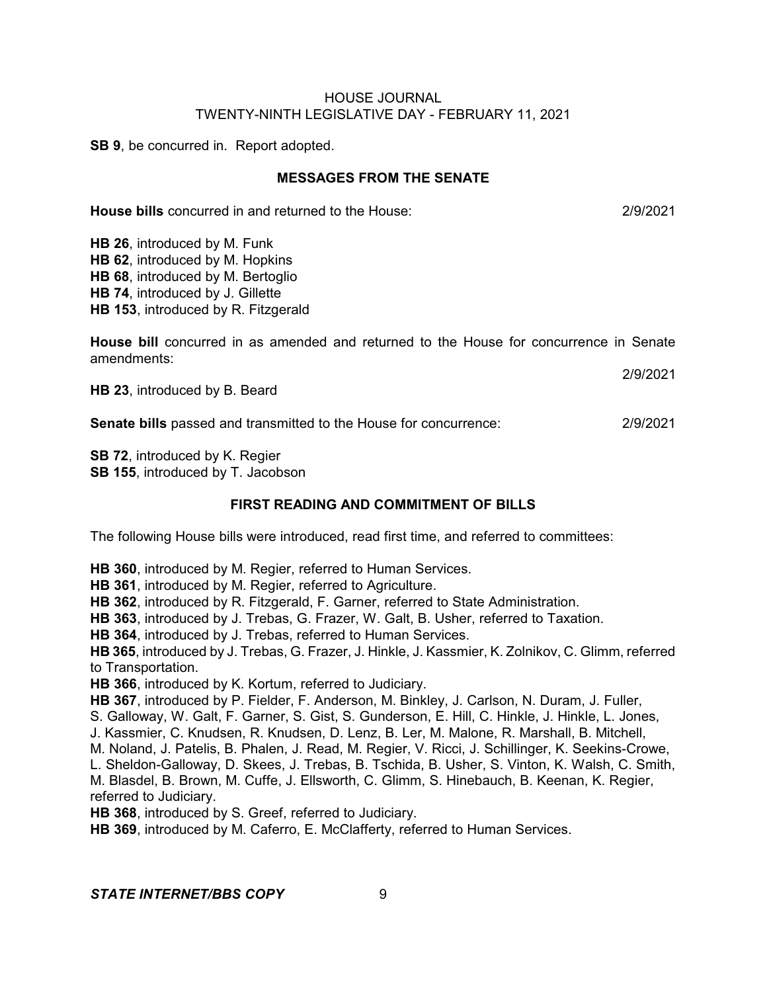**SB 9**, be concurred in. Report adopted.

## **MESSAGES FROM THE SENATE**

**House bills** concurred in and returned to the House: 2/9/2021

**HB 26**, introduced by M. Funk **HB 62**, introduced by M. Hopkins **HB 68**, introduced by M. Bertoglio **HB 74**, introduced by J. Gillette **HB 153**, introduced by R. Fitzgerald

**House bill** concurred in as amended and returned to the House for concurrence in Senate amendments:

**HB 23**, introduced by B. Beard

**Senate bills** passed and transmitted to the House for concurrence: 2/9/2021

**SB 72**, introduced by K. Regier **SB 155**, introduced by T. Jacobson

## **FIRST READING AND COMMITMENT OF BILLS**

The following House bills were introduced, read first time, and referred to committees:

**HB 360**, introduced by M. Regier, referred to Human Services.

**HB 361**, introduced by M. Regier, referred to Agriculture.

**HB 362**, introduced by R. Fitzgerald, F. Garner, referred to State Administration.

**HB 363**, introduced by J. Trebas, G. Frazer, W. Galt, B. Usher, referred to Taxation.

**HB 364**, introduced by J. Trebas, referred to Human Services.

**HB 365**, introduced by J. Trebas, G. Frazer, J. Hinkle, J. Kassmier, K. Zolnikov, C. Glimm, referred to Transportation.

**HB 366**, introduced by K. Kortum, referred to Judiciary.

**HB 367**, introduced by P. Fielder, F. Anderson, M. Binkley, J. Carlson, N. Duram, J. Fuller, S. Galloway, W. Galt, F. Garner, S. Gist, S. Gunderson, E. Hill, C. Hinkle, J. Hinkle, L. Jones, J. Kassmier, C. Knudsen, R. Knudsen, D. Lenz, B. Ler, M. Malone, R. Marshall, B. Mitchell, M. Noland, J. Patelis, B. Phalen, J. Read, M. Regier, V. Ricci, J. Schillinger, K. Seekins-Crowe, L. Sheldon-Galloway, D. Skees, J. Trebas, B. Tschida, B. Usher, S. Vinton, K. Walsh, C. Smith, M. Blasdel, B. Brown, M. Cuffe, J. Ellsworth, C. Glimm, S. Hinebauch, B. Keenan, K. Regier, referred to Judiciary. **HB 368**, introduced by S. Greef, referred to Judiciary.

**HB 369**, introduced by M. Caferro, E. McClafferty, referred to Human Services.

**STATE INTERNET/BBS COPY** 9

2/9/2021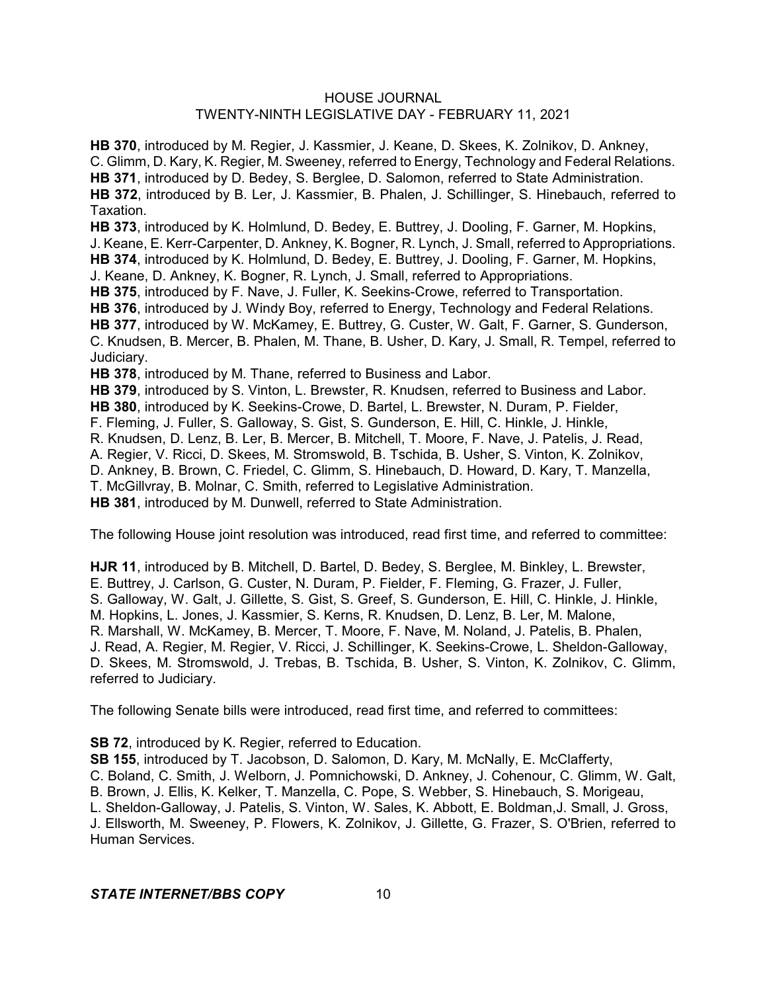**HB 370**, introduced by M. Regier, J. Kassmier, J. Keane, D. Skees, K. Zolnikov, D. Ankney, C. Glimm, D. Kary, K. Regier, M. Sweeney, referred to Energy, Technology and Federal Relations. **HB 371**, introduced by D. Bedey, S. Berglee, D. Salomon, referred to State Administration. **HB 372**, introduced by B. Ler, J. Kassmier, B. Phalen, J. Schillinger, S. Hinebauch, referred to Taxation.

**HB 373**, introduced by K. Holmlund, D. Bedey, E. Buttrey, J. Dooling, F. Garner, M. Hopkins, J. Keane, E. Kerr-Carpenter, D. Ankney, K. Bogner, R. Lynch, J. Small, referred to Appropriations. **HB 374**, introduced by K. Holmlund, D. Bedey, E. Buttrey, J. Dooling, F. Garner, M. Hopkins, J. Keane, D. Ankney, K. Bogner, R. Lynch, J. Small, referred to Appropriations.

**HB 375**, introduced by F. Nave, J. Fuller, K. Seekins-Crowe, referred to Transportation.

**HB 376**, introduced by J. Windy Boy, referred to Energy, Technology and Federal Relations. **HB 377**, introduced by W. McKamey, E. Buttrey, G. Custer, W. Galt, F. Garner, S. Gunderson, C. Knudsen, B. Mercer, B. Phalen, M. Thane, B. Usher, D. Kary, J. Small, R. Tempel, referred to Judiciary.

**HB 378**, introduced by M. Thane, referred to Business and Labor.

**HB 379**, introduced by S. Vinton, L. Brewster, R. Knudsen, referred to Business and Labor.

**HB 380**, introduced by K. Seekins-Crowe, D. Bartel, L. Brewster, N. Duram, P. Fielder,

F. Fleming, J. Fuller, S. Galloway, S. Gist, S. Gunderson, E. Hill, C. Hinkle, J. Hinkle,

R. Knudsen, D. Lenz, B. Ler, B. Mercer, B. Mitchell, T. Moore, F. Nave, J. Patelis, J. Read,

A. Regier, V. Ricci, D. Skees, M. Stromswold, B. Tschida, B. Usher, S. Vinton, K. Zolnikov,

D. Ankney, B. Brown, C. Friedel, C. Glimm, S. Hinebauch, D. Howard, D. Kary, T. Manzella,

T. McGillvray, B. Molnar, C. Smith, referred to Legislative Administration.

**HB 381**, introduced by M. Dunwell, referred to State Administration.

The following House joint resolution was introduced, read first time, and referred to committee:

**HJR 11**, introduced by B. Mitchell, D. Bartel, D. Bedey, S. Berglee, M. Binkley, L. Brewster, E. Buttrey, J. Carlson, G. Custer, N. Duram, P. Fielder, F. Fleming, G. Frazer, J. Fuller, S. Galloway, W. Galt, J. Gillette, S. Gist, S. Greef, S. Gunderson, E. Hill, C. Hinkle, J. Hinkle, M. Hopkins, L. Jones, J. Kassmier, S. Kerns, R. Knudsen, D. Lenz, B. Ler, M. Malone, R. Marshall, W. McKamey, B. Mercer, T. Moore, F. Nave, M. Noland, J. Patelis, B. Phalen, J. Read, A. Regier, M. Regier, V. Ricci, J. Schillinger, K. Seekins-Crowe, L. Sheldon-Galloway, D. Skees, M. Stromswold, J. Trebas, B. Tschida, B. Usher, S. Vinton, K. Zolnikov, C. Glimm, referred to Judiciary.

The following Senate bills were introduced, read first time, and referred to committees:

**SB 72**, introduced by K. Regier, referred to Education.

**SB 155**, introduced by T. Jacobson, D. Salomon, D. Kary, M. McNally, E. McClafferty,

C. Boland, C. Smith, J. Welborn, J. Pomnichowski, D. Ankney, J. Cohenour, C. Glimm, W. Galt, B. Brown, J. Ellis, K. Kelker, T. Manzella, C. Pope, S. Webber, S. Hinebauch, S. Morigeau,

L. Sheldon-Galloway, J. Patelis, S. Vinton, W. Sales, K. Abbott, E. Boldman,J. Small, J. Gross,

J. Ellsworth, M. Sweeney, P. Flowers, K. Zolnikov, J. Gillette, G. Frazer, S. O'Brien, referred to Human Services.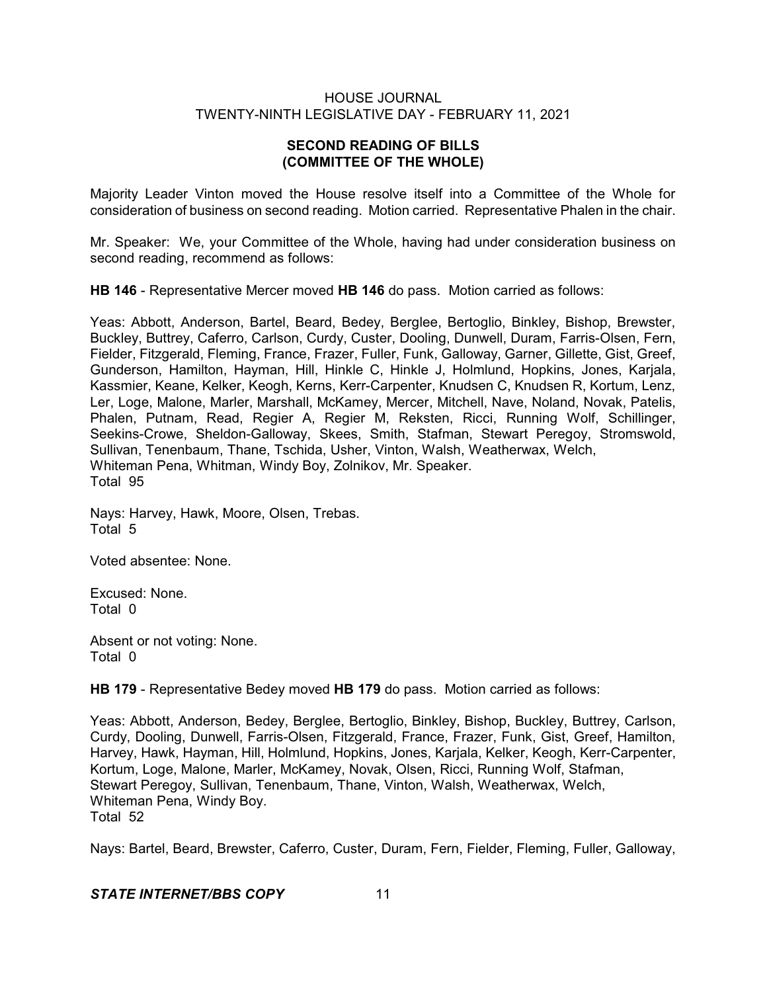# **SECOND READING OF BILLS (COMMITTEE OF THE WHOLE)**

Majority Leader Vinton moved the House resolve itself into a Committee of the Whole for consideration of business on second reading. Motion carried. Representative Phalen in the chair.

Mr. Speaker: We, your Committee of the Whole, having had under consideration business on second reading, recommend as follows:

**HB 146** - Representative Mercer moved **HB 146** do pass. Motion carried as follows:

Yeas: Abbott, Anderson, Bartel, Beard, Bedey, Berglee, Bertoglio, Binkley, Bishop, Brewster, Buckley, Buttrey, Caferro, Carlson, Curdy, Custer, Dooling, Dunwell, Duram, Farris-Olsen, Fern, Fielder, Fitzgerald, Fleming, France, Frazer, Fuller, Funk, Galloway, Garner, Gillette, Gist, Greef, Gunderson, Hamilton, Hayman, Hill, Hinkle C, Hinkle J, Holmlund, Hopkins, Jones, Karjala, Kassmier, Keane, Kelker, Keogh, Kerns, Kerr-Carpenter, Knudsen C, Knudsen R, Kortum, Lenz, Ler, Loge, Malone, Marler, Marshall, McKamey, Mercer, Mitchell, Nave, Noland, Novak, Patelis, Phalen, Putnam, Read, Regier A, Regier M, Reksten, Ricci, Running Wolf, Schillinger, Seekins-Crowe, Sheldon-Galloway, Skees, Smith, Stafman, Stewart Peregoy, Stromswold, Sullivan, Tenenbaum, Thane, Tschida, Usher, Vinton, Walsh, Weatherwax, Welch, Whiteman Pena, Whitman, Windy Boy, Zolnikov, Mr. Speaker. Total 95

Nays: Harvey, Hawk, Moore, Olsen, Trebas. Total 5

Voted absentee: None.

Excused: None. Total 0

Absent or not voting: None. Total 0

**HB 179** - Representative Bedey moved **HB 179** do pass. Motion carried as follows:

Yeas: Abbott, Anderson, Bedey, Berglee, Bertoglio, Binkley, Bishop, Buckley, Buttrey, Carlson, Curdy, Dooling, Dunwell, Farris-Olsen, Fitzgerald, France, Frazer, Funk, Gist, Greef, Hamilton, Harvey, Hawk, Hayman, Hill, Holmlund, Hopkins, Jones, Karjala, Kelker, Keogh, Kerr-Carpenter, Kortum, Loge, Malone, Marler, McKamey, Novak, Olsen, Ricci, Running Wolf, Stafman, Stewart Peregoy, Sullivan, Tenenbaum, Thane, Vinton, Walsh, Weatherwax, Welch, Whiteman Pena, Windy Boy. Total 52

Nays: Bartel, Beard, Brewster, Caferro, Custer, Duram, Fern, Fielder, Fleming, Fuller, Galloway,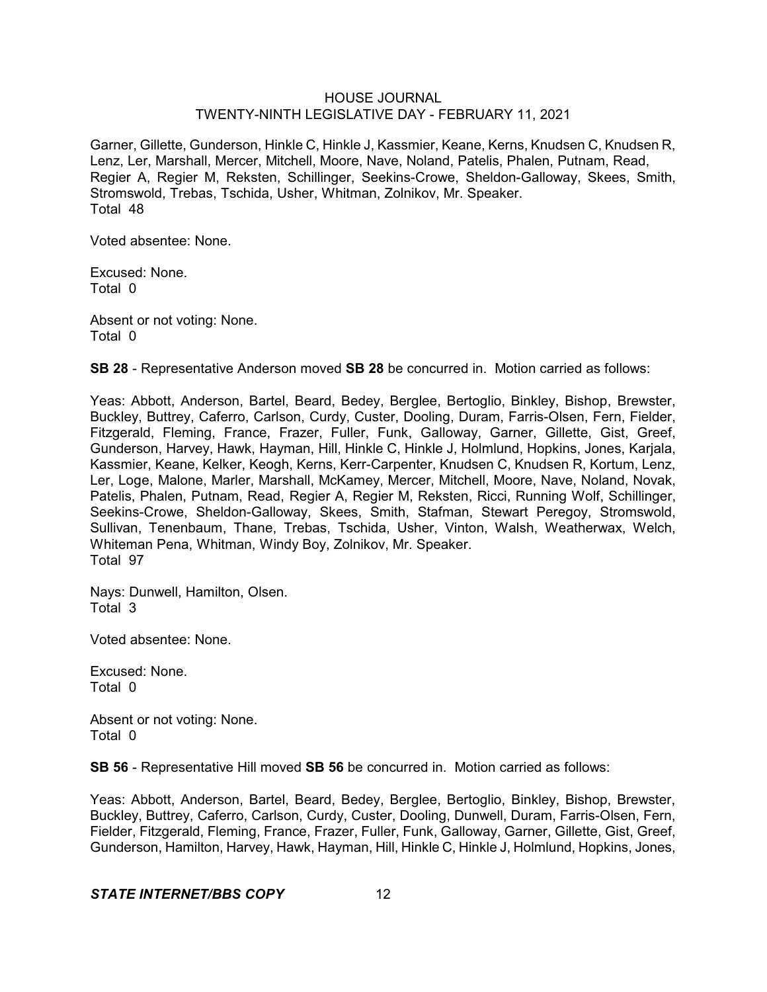Garner, Gillette, Gunderson, Hinkle C, Hinkle J, Kassmier, Keane, Kerns, Knudsen C, Knudsen R, Lenz, Ler, Marshall, Mercer, Mitchell, Moore, Nave, Noland, Patelis, Phalen, Putnam, Read, Regier A, Regier M, Reksten, Schillinger, Seekins-Crowe, Sheldon-Galloway, Skees, Smith, Stromswold, Trebas, Tschida, Usher, Whitman, Zolnikov, Mr. Speaker. Total 48

Voted absentee: None.

Excused: None. Total 0

Absent or not voting: None. Total 0

**SB 28** - Representative Anderson moved **SB 28** be concurred in. Motion carried as follows:

Yeas: Abbott, Anderson, Bartel, Beard, Bedey, Berglee, Bertoglio, Binkley, Bishop, Brewster, Buckley, Buttrey, Caferro, Carlson, Curdy, Custer, Dooling, Duram, Farris-Olsen, Fern, Fielder, Fitzgerald, Fleming, France, Frazer, Fuller, Funk, Galloway, Garner, Gillette, Gist, Greef, Gunderson, Harvey, Hawk, Hayman, Hill, Hinkle C, Hinkle J, Holmlund, Hopkins, Jones, Karjala, Kassmier, Keane, Kelker, Keogh, Kerns, Kerr-Carpenter, Knudsen C, Knudsen R, Kortum, Lenz, Ler, Loge, Malone, Marler, Marshall, McKamey, Mercer, Mitchell, Moore, Nave, Noland, Novak, Patelis, Phalen, Putnam, Read, Regier A, Regier M, Reksten, Ricci, Running Wolf, Schillinger, Seekins-Crowe, Sheldon-Galloway, Skees, Smith, Stafman, Stewart Peregoy, Stromswold, Sullivan, Tenenbaum, Thane, Trebas, Tschida, Usher, Vinton, Walsh, Weatherwax, Welch, Whiteman Pena, Whitman, Windy Boy, Zolnikov, Mr. Speaker. Total 97

Nays: Dunwell, Hamilton, Olsen. Total 3

Voted absentee: None.

Excused: None. Total 0

Absent or not voting: None. Total 0

**SB 56** - Representative Hill moved **SB 56** be concurred in. Motion carried as follows:

Yeas: Abbott, Anderson, Bartel, Beard, Bedey, Berglee, Bertoglio, Binkley, Bishop, Brewster, Buckley, Buttrey, Caferro, Carlson, Curdy, Custer, Dooling, Dunwell, Duram, Farris-Olsen, Fern, Fielder, Fitzgerald, Fleming, France, Frazer, Fuller, Funk, Galloway, Garner, Gillette, Gist, Greef, Gunderson, Hamilton, Harvey, Hawk, Hayman, Hill, Hinkle C, Hinkle J, Holmlund, Hopkins, Jones,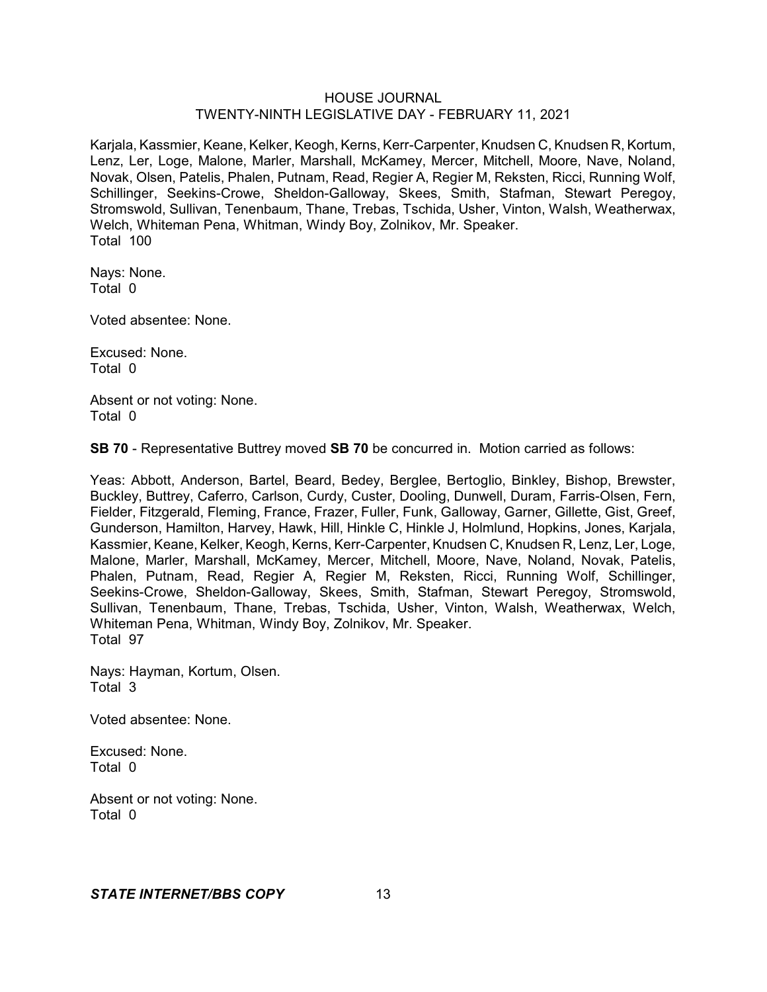Karjala, Kassmier, Keane, Kelker, Keogh, Kerns, Kerr-Carpenter, Knudsen C, Knudsen R, Kortum, Lenz, Ler, Loge, Malone, Marler, Marshall, McKamey, Mercer, Mitchell, Moore, Nave, Noland, Novak, Olsen, Patelis, Phalen, Putnam, Read, Regier A, Regier M, Reksten, Ricci, Running Wolf, Schillinger, Seekins-Crowe, Sheldon-Galloway, Skees, Smith, Stafman, Stewart Peregoy, Stromswold, Sullivan, Tenenbaum, Thane, Trebas, Tschida, Usher, Vinton, Walsh, Weatherwax, Welch, Whiteman Pena, Whitman, Windy Boy, Zolnikov, Mr. Speaker. Total 100

Nays: None. Total 0

Voted absentee: None.

Excused: None. Total 0

Absent or not voting: None. Total 0

**SB 70** - Representative Buttrey moved **SB 70** be concurred in. Motion carried as follows:

Yeas: Abbott, Anderson, Bartel, Beard, Bedey, Berglee, Bertoglio, Binkley, Bishop, Brewster, Buckley, Buttrey, Caferro, Carlson, Curdy, Custer, Dooling, Dunwell, Duram, Farris-Olsen, Fern, Fielder, Fitzgerald, Fleming, France, Frazer, Fuller, Funk, Galloway, Garner, Gillette, Gist, Greef, Gunderson, Hamilton, Harvey, Hawk, Hill, Hinkle C, Hinkle J, Holmlund, Hopkins, Jones, Karjala, Kassmier, Keane, Kelker, Keogh, Kerns, Kerr-Carpenter, Knudsen C, Knudsen R, Lenz, Ler, Loge, Malone, Marler, Marshall, McKamey, Mercer, Mitchell, Moore, Nave, Noland, Novak, Patelis, Phalen, Putnam, Read, Regier A, Regier M, Reksten, Ricci, Running Wolf, Schillinger, Seekins-Crowe, Sheldon-Galloway, Skees, Smith, Stafman, Stewart Peregoy, Stromswold, Sullivan, Tenenbaum, Thane, Trebas, Tschida, Usher, Vinton, Walsh, Weatherwax, Welch, Whiteman Pena, Whitman, Windy Boy, Zolnikov, Mr. Speaker. Total 97

Nays: Hayman, Kortum, Olsen. Total 3

Voted absentee: None.

Excused: None. Total 0

Absent or not voting: None. Total 0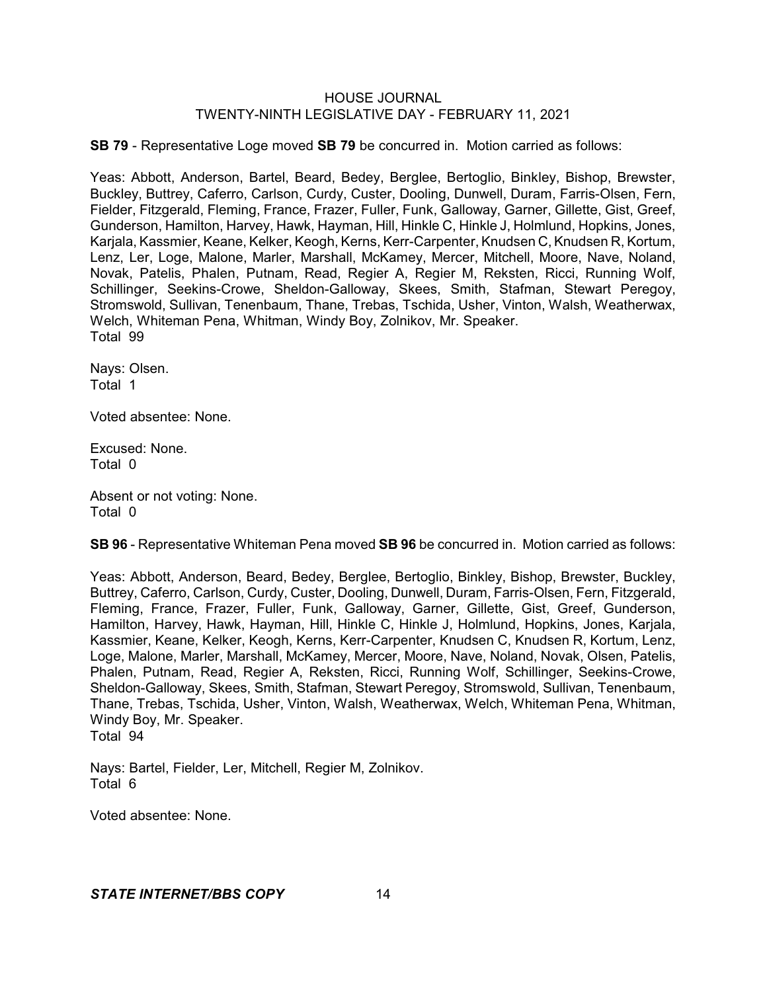**SB 79** - Representative Loge moved **SB 79** be concurred in. Motion carried as follows:

Yeas: Abbott, Anderson, Bartel, Beard, Bedey, Berglee, Bertoglio, Binkley, Bishop, Brewster, Buckley, Buttrey, Caferro, Carlson, Curdy, Custer, Dooling, Dunwell, Duram, Farris-Olsen, Fern, Fielder, Fitzgerald, Fleming, France, Frazer, Fuller, Funk, Galloway, Garner, Gillette, Gist, Greef, Gunderson, Hamilton, Harvey, Hawk, Hayman, Hill, Hinkle C, Hinkle J, Holmlund, Hopkins, Jones, Karjala, Kassmier, Keane, Kelker, Keogh, Kerns, Kerr-Carpenter, Knudsen C, Knudsen R, Kortum, Lenz, Ler, Loge, Malone, Marler, Marshall, McKamey, Mercer, Mitchell, Moore, Nave, Noland, Novak, Patelis, Phalen, Putnam, Read, Regier A, Regier M, Reksten, Ricci, Running Wolf, Schillinger, Seekins-Crowe, Sheldon-Galloway, Skees, Smith, Stafman, Stewart Peregoy, Stromswold, Sullivan, Tenenbaum, Thane, Trebas, Tschida, Usher, Vinton, Walsh, Weatherwax, Welch, Whiteman Pena, Whitman, Windy Boy, Zolnikov, Mr. Speaker. Total 99

Nays: Olsen. Total 1

Voted absentee: None.

Excused: None. Total 0

Absent or not voting: None. Total 0

**SB 96** - Representative Whiteman Pena moved **SB 96** be concurred in. Motion carried as follows:

Yeas: Abbott, Anderson, Beard, Bedey, Berglee, Bertoglio, Binkley, Bishop, Brewster, Buckley, Buttrey, Caferro, Carlson, Curdy, Custer, Dooling, Dunwell, Duram, Farris-Olsen, Fern, Fitzgerald, Fleming, France, Frazer, Fuller, Funk, Galloway, Garner, Gillette, Gist, Greef, Gunderson, Hamilton, Harvey, Hawk, Hayman, Hill, Hinkle C, Hinkle J, Holmlund, Hopkins, Jones, Karjala, Kassmier, Keane, Kelker, Keogh, Kerns, Kerr-Carpenter, Knudsen C, Knudsen R, Kortum, Lenz, Loge, Malone, Marler, Marshall, McKamey, Mercer, Moore, Nave, Noland, Novak, Olsen, Patelis, Phalen, Putnam, Read, Regier A, Reksten, Ricci, Running Wolf, Schillinger, Seekins-Crowe, Sheldon-Galloway, Skees, Smith, Stafman, Stewart Peregoy, Stromswold, Sullivan, Tenenbaum, Thane, Trebas, Tschida, Usher, Vinton, Walsh, Weatherwax, Welch, Whiteman Pena, Whitman, Windy Boy, Mr. Speaker. Total 94

Nays: Bartel, Fielder, Ler, Mitchell, Regier M, Zolnikov. Total 6

Voted absentee: None.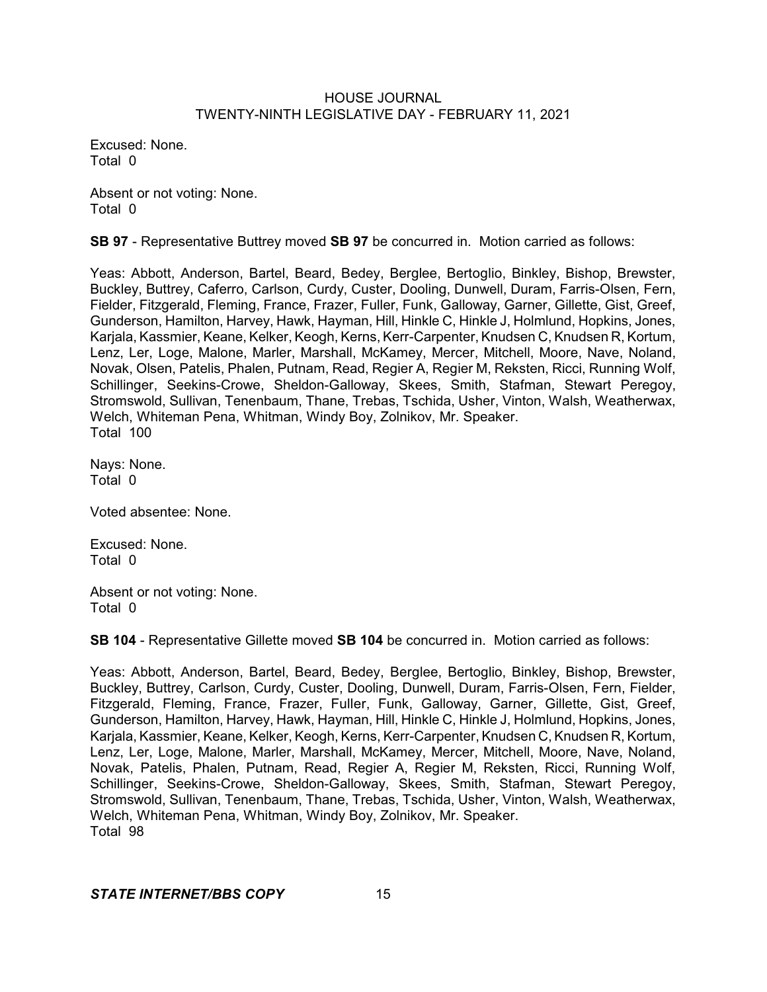Excused: None. Total 0

Absent or not voting: None. Total 0

**SB 97** - Representative Buttrey moved **SB 97** be concurred in. Motion carried as follows:

Yeas: Abbott, Anderson, Bartel, Beard, Bedey, Berglee, Bertoglio, Binkley, Bishop, Brewster, Buckley, Buttrey, Caferro, Carlson, Curdy, Custer, Dooling, Dunwell, Duram, Farris-Olsen, Fern, Fielder, Fitzgerald, Fleming, France, Frazer, Fuller, Funk, Galloway, Garner, Gillette, Gist, Greef, Gunderson, Hamilton, Harvey, Hawk, Hayman, Hill, Hinkle C, Hinkle J, Holmlund, Hopkins, Jones, Karjala, Kassmier, Keane, Kelker, Keogh, Kerns, Kerr-Carpenter, Knudsen C, Knudsen R, Kortum, Lenz, Ler, Loge, Malone, Marler, Marshall, McKamey, Mercer, Mitchell, Moore, Nave, Noland, Novak, Olsen, Patelis, Phalen, Putnam, Read, Regier A, Regier M, Reksten, Ricci, Running Wolf, Schillinger, Seekins-Crowe, Sheldon-Galloway, Skees, Smith, Stafman, Stewart Peregoy, Stromswold, Sullivan, Tenenbaum, Thane, Trebas, Tschida, Usher, Vinton, Walsh, Weatherwax, Welch, Whiteman Pena, Whitman, Windy Boy, Zolnikov, Mr. Speaker. Total 100

Nays: None. Total 0

Voted absentee: None.

Excused: None. Total 0

Absent or not voting: None. Total 0

**SB 104** - Representative Gillette moved **SB 104** be concurred in. Motion carried as follows:

Yeas: Abbott, Anderson, Bartel, Beard, Bedey, Berglee, Bertoglio, Binkley, Bishop, Brewster, Buckley, Buttrey, Carlson, Curdy, Custer, Dooling, Dunwell, Duram, Farris-Olsen, Fern, Fielder, Fitzgerald, Fleming, France, Frazer, Fuller, Funk, Galloway, Garner, Gillette, Gist, Greef, Gunderson, Hamilton, Harvey, Hawk, Hayman, Hill, Hinkle C, Hinkle J, Holmlund, Hopkins, Jones, Karjala, Kassmier, Keane, Kelker, Keogh, Kerns, Kerr-Carpenter, Knudsen C, Knudsen R, Kortum, Lenz, Ler, Loge, Malone, Marler, Marshall, McKamey, Mercer, Mitchell, Moore, Nave, Noland, Novak, Patelis, Phalen, Putnam, Read, Regier A, Regier M, Reksten, Ricci, Running Wolf, Schillinger, Seekins-Crowe, Sheldon-Galloway, Skees, Smith, Stafman, Stewart Peregoy, Stromswold, Sullivan, Tenenbaum, Thane, Trebas, Tschida, Usher, Vinton, Walsh, Weatherwax, Welch, Whiteman Pena, Whitman, Windy Boy, Zolnikov, Mr. Speaker. Total 98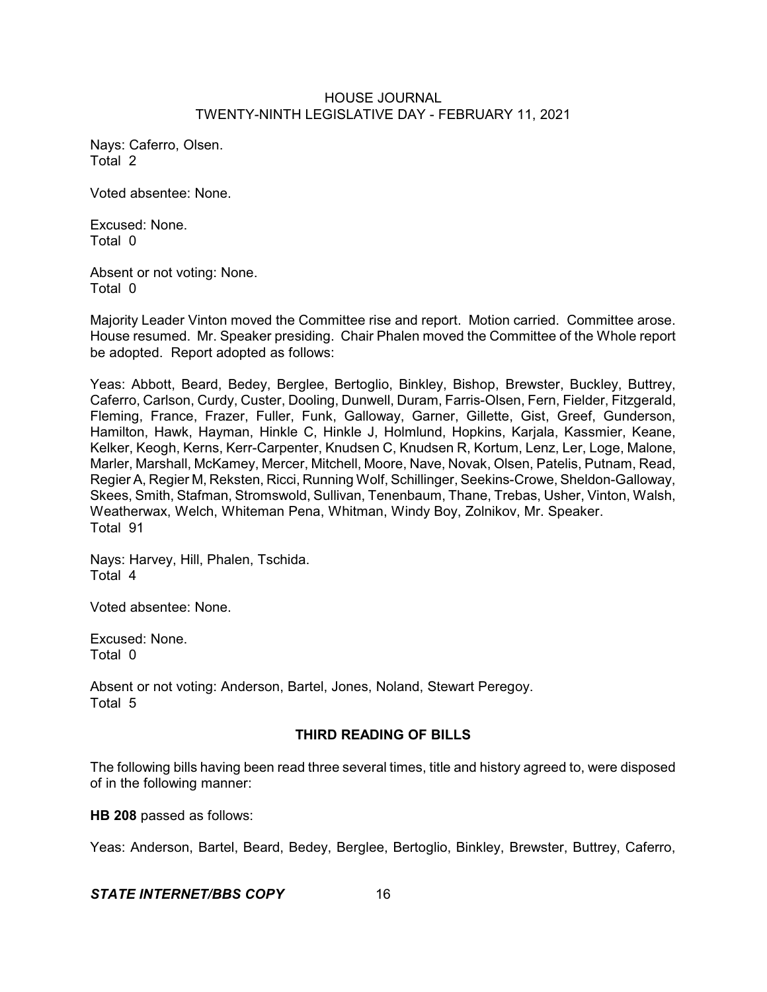Nays: Caferro, Olsen. Total 2

Voted absentee: None.

Excused: None. Total 0

Absent or not voting: None. Total 0

Majority Leader Vinton moved the Committee rise and report. Motion carried. Committee arose. House resumed. Mr. Speaker presiding. Chair Phalen moved the Committee of the Whole report be adopted. Report adopted as follows:

Yeas: Abbott, Beard, Bedey, Berglee, Bertoglio, Binkley, Bishop, Brewster, Buckley, Buttrey, Caferro, Carlson, Curdy, Custer, Dooling, Dunwell, Duram, Farris-Olsen, Fern, Fielder, Fitzgerald, Fleming, France, Frazer, Fuller, Funk, Galloway, Garner, Gillette, Gist, Greef, Gunderson, Hamilton, Hawk, Hayman, Hinkle C, Hinkle J, Holmlund, Hopkins, Karjala, Kassmier, Keane, Kelker, Keogh, Kerns, Kerr-Carpenter, Knudsen C, Knudsen R, Kortum, Lenz, Ler, Loge, Malone, Marler, Marshall, McKamey, Mercer, Mitchell, Moore, Nave, Novak, Olsen, Patelis, Putnam, Read, Regier A, Regier M, Reksten, Ricci, Running Wolf, Schillinger, Seekins-Crowe, Sheldon-Galloway, Skees, Smith, Stafman, Stromswold, Sullivan, Tenenbaum, Thane, Trebas, Usher, Vinton, Walsh, Weatherwax, Welch, Whiteman Pena, Whitman, Windy Boy, Zolnikov, Mr. Speaker. Total 91

Nays: Harvey, Hill, Phalen, Tschida. Total 4

Voted absentee: None.

Excused: None. Total 0

Absent or not voting: Anderson, Bartel, Jones, Noland, Stewart Peregoy. Total 5

# **THIRD READING OF BILLS**

The following bills having been read three several times, title and history agreed to, were disposed of in the following manner:

**HB 208** passed as follows:

Yeas: Anderson, Bartel, Beard, Bedey, Berglee, Bertoglio, Binkley, Brewster, Buttrey, Caferro,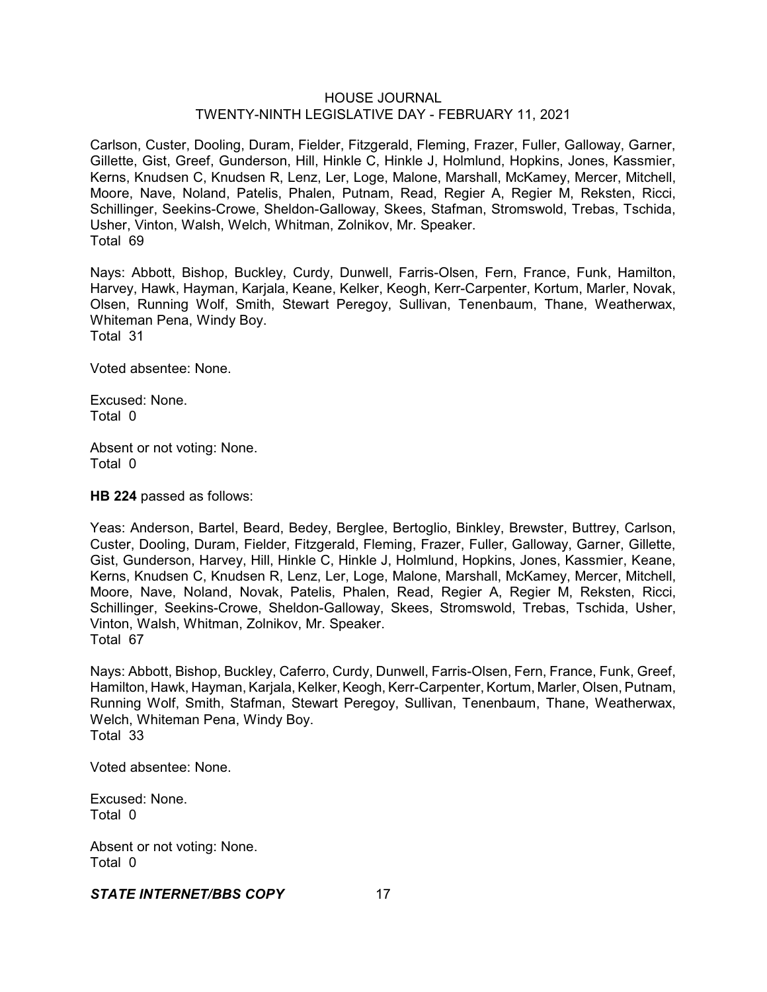Carlson, Custer, Dooling, Duram, Fielder, Fitzgerald, Fleming, Frazer, Fuller, Galloway, Garner, Gillette, Gist, Greef, Gunderson, Hill, Hinkle C, Hinkle J, Holmlund, Hopkins, Jones, Kassmier, Kerns, Knudsen C, Knudsen R, Lenz, Ler, Loge, Malone, Marshall, McKamey, Mercer, Mitchell, Moore, Nave, Noland, Patelis, Phalen, Putnam, Read, Regier A, Regier M, Reksten, Ricci, Schillinger, Seekins-Crowe, Sheldon-Galloway, Skees, Stafman, Stromswold, Trebas, Tschida, Usher, Vinton, Walsh, Welch, Whitman, Zolnikov, Mr. Speaker. Total 69

Nays: Abbott, Bishop, Buckley, Curdy, Dunwell, Farris-Olsen, Fern, France, Funk, Hamilton, Harvey, Hawk, Hayman, Karjala, Keane, Kelker, Keogh, Kerr-Carpenter, Kortum, Marler, Novak, Olsen, Running Wolf, Smith, Stewart Peregoy, Sullivan, Tenenbaum, Thane, Weatherwax, Whiteman Pena, Windy Boy. Total 31

Voted absentee: None.

Excused: None. Total 0

Absent or not voting: None. Total 0

**HB 224** passed as follows:

Yeas: Anderson, Bartel, Beard, Bedey, Berglee, Bertoglio, Binkley, Brewster, Buttrey, Carlson, Custer, Dooling, Duram, Fielder, Fitzgerald, Fleming, Frazer, Fuller, Galloway, Garner, Gillette, Gist, Gunderson, Harvey, Hill, Hinkle C, Hinkle J, Holmlund, Hopkins, Jones, Kassmier, Keane, Kerns, Knudsen C, Knudsen R, Lenz, Ler, Loge, Malone, Marshall, McKamey, Mercer, Mitchell, Moore, Nave, Noland, Novak, Patelis, Phalen, Read, Regier A, Regier M, Reksten, Ricci, Schillinger, Seekins-Crowe, Sheldon-Galloway, Skees, Stromswold, Trebas, Tschida, Usher, Vinton, Walsh, Whitman, Zolnikov, Mr. Speaker. Total 67

Nays: Abbott, Bishop, Buckley, Caferro, Curdy, Dunwell, Farris-Olsen, Fern, France, Funk, Greef, Hamilton, Hawk, Hayman, Karjala, Kelker,Keogh, Kerr-Carpenter, Kortum, Marler, Olsen, Putnam, Running Wolf, Smith, Stafman, Stewart Peregoy, Sullivan, Tenenbaum, Thane, Weatherwax, Welch, Whiteman Pena, Windy Boy. Total 33

Voted absentee: None.

Excused: None. Total 0

Absent or not voting: None. Total 0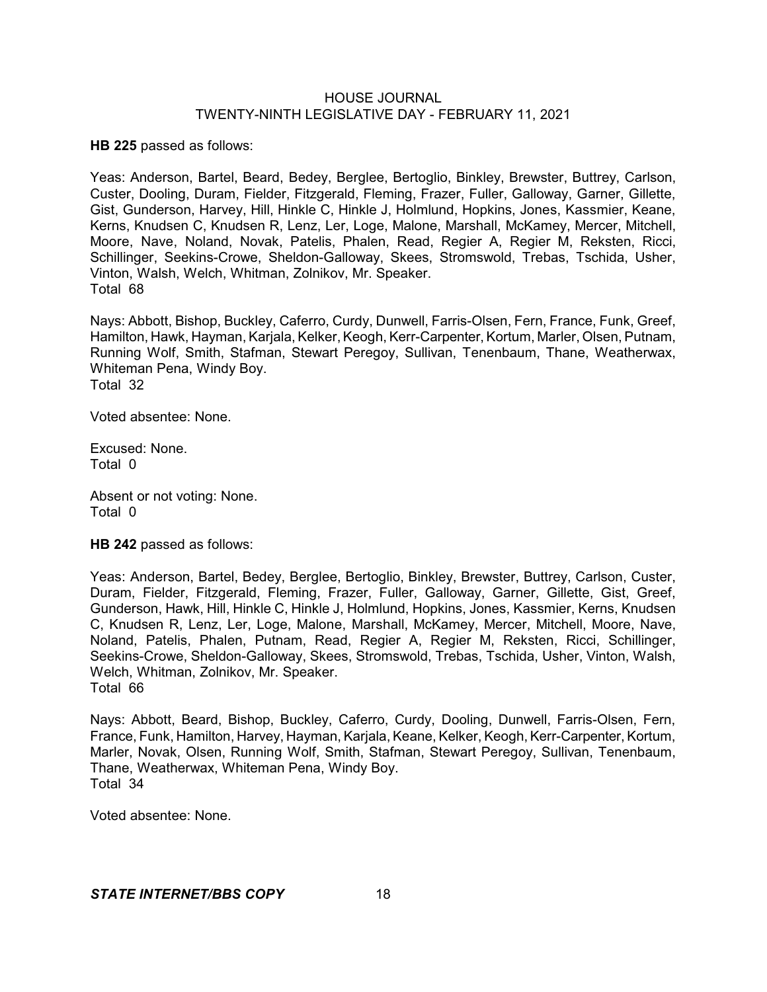**HB 225** passed as follows:

Yeas: Anderson, Bartel, Beard, Bedey, Berglee, Bertoglio, Binkley, Brewster, Buttrey, Carlson, Custer, Dooling, Duram, Fielder, Fitzgerald, Fleming, Frazer, Fuller, Galloway, Garner, Gillette, Gist, Gunderson, Harvey, Hill, Hinkle C, Hinkle J, Holmlund, Hopkins, Jones, Kassmier, Keane, Kerns, Knudsen C, Knudsen R, Lenz, Ler, Loge, Malone, Marshall, McKamey, Mercer, Mitchell, Moore, Nave, Noland, Novak, Patelis, Phalen, Read, Regier A, Regier M, Reksten, Ricci, Schillinger, Seekins-Crowe, Sheldon-Galloway, Skees, Stromswold, Trebas, Tschida, Usher, Vinton, Walsh, Welch, Whitman, Zolnikov, Mr. Speaker. Total 68

Nays: Abbott, Bishop, Buckley, Caferro, Curdy, Dunwell, Farris-Olsen, Fern, France, Funk, Greef, Hamilton, Hawk, Hayman, Karjala, Kelker, Keogh, Kerr-Carpenter, Kortum, Marler, Olsen, Putnam, Running Wolf, Smith, Stafman, Stewart Peregoy, Sullivan, Tenenbaum, Thane, Weatherwax, Whiteman Pena, Windy Boy. Total 32

Voted absentee: None.

Excused: None. Total 0

Absent or not voting: None. Total 0

**HB 242** passed as follows:

Yeas: Anderson, Bartel, Bedey, Berglee, Bertoglio, Binkley, Brewster, Buttrey, Carlson, Custer, Duram, Fielder, Fitzgerald, Fleming, Frazer, Fuller, Galloway, Garner, Gillette, Gist, Greef, Gunderson, Hawk, Hill, Hinkle C, Hinkle J, Holmlund, Hopkins, Jones, Kassmier, Kerns, Knudsen C, Knudsen R, Lenz, Ler, Loge, Malone, Marshall, McKamey, Mercer, Mitchell, Moore, Nave, Noland, Patelis, Phalen, Putnam, Read, Regier A, Regier M, Reksten, Ricci, Schillinger, Seekins-Crowe, Sheldon-Galloway, Skees, Stromswold, Trebas, Tschida, Usher, Vinton, Walsh, Welch, Whitman, Zolnikov, Mr. Speaker. Total 66

Nays: Abbott, Beard, Bishop, Buckley, Caferro, Curdy, Dooling, Dunwell, Farris-Olsen, Fern, France, Funk, Hamilton, Harvey, Hayman, Karjala, Keane, Kelker, Keogh, Kerr-Carpenter, Kortum, Marler, Novak, Olsen, Running Wolf, Smith, Stafman, Stewart Peregoy, Sullivan, Tenenbaum, Thane, Weatherwax, Whiteman Pena, Windy Boy. Total 34

Voted absentee: None.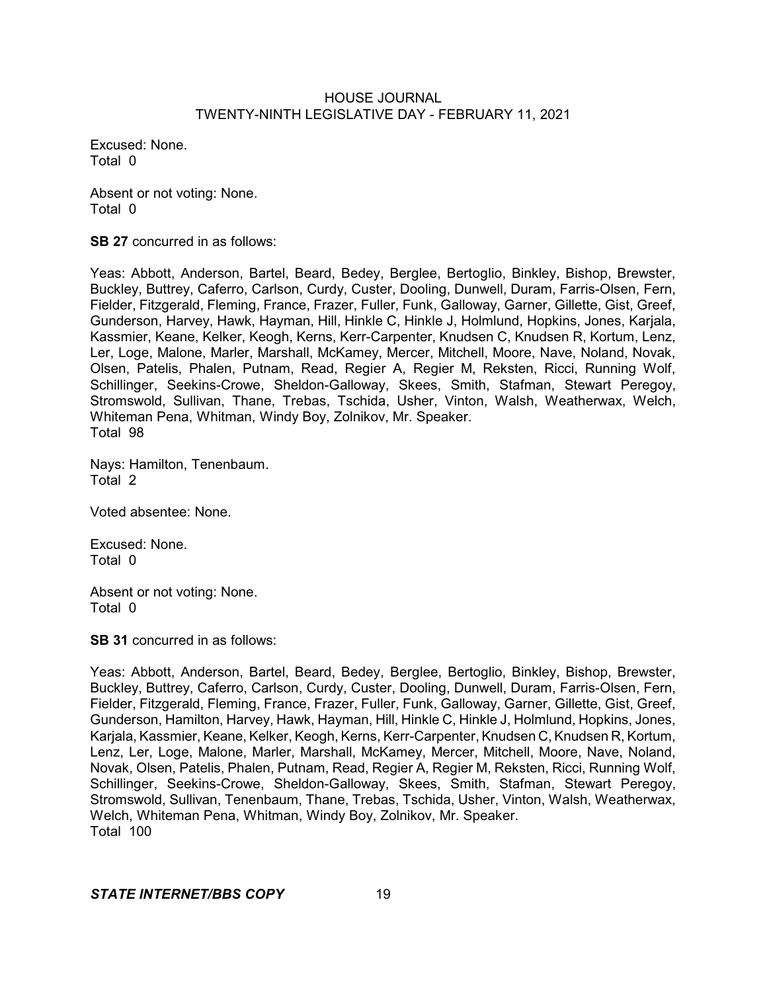Excused: None. Total 0

Absent or not voting: None. Total 0

**SB 27** concurred in as follows:

Yeas: Abbott, Anderson, Bartel, Beard, Bedey, Berglee, Bertoglio, Binkley, Bishop, Brewster, Buckley, Buttrey, Caferro, Carlson, Curdy, Custer, Dooling, Dunwell, Duram, Farris-Olsen, Fern, Fielder, Fitzgerald, Fleming, France, Frazer, Fuller, Funk, Galloway, Garner, Gillette, Gist, Greef, Gunderson, Harvey, Hawk, Hayman, Hill, Hinkle C, Hinkle J, Holmlund, Hopkins, Jones, Karjala, Kassmier, Keane, Kelker, Keogh, Kerns, Kerr-Carpenter, Knudsen C, Knudsen R, Kortum, Lenz, Ler, Loge, Malone, Marler, Marshall, McKamey, Mercer, Mitchell, Moore, Nave, Noland, Novak, Olsen, Patelis, Phalen, Putnam, Read, Regier A, Regier M, Reksten, Ricci, Running Wolf, Schillinger, Seekins-Crowe, Sheldon-Galloway, Skees, Smith, Stafman, Stewart Peregoy, Stromswold, Sullivan, Thane, Trebas, Tschida, Usher, Vinton, Walsh, Weatherwax, Welch, Whiteman Pena, Whitman, Windy Boy, Zolnikov, Mr. Speaker. Total 98

Nays: Hamilton, Tenenbaum. Total 2

Voted absentee: None.

Excused: None. Total 0

Absent or not voting: None. Total 0

**SB 31** concurred in as follows:

Yeas: Abbott, Anderson, Bartel, Beard, Bedey, Berglee, Bertoglio, Binkley, Bishop, Brewster, Buckley, Buttrey, Caferro, Carlson, Curdy, Custer, Dooling, Dunwell, Duram, Farris-Olsen, Fern, Fielder, Fitzgerald, Fleming, France, Frazer, Fuller, Funk, Galloway, Garner, Gillette, Gist, Greef, Gunderson, Hamilton, Harvey, Hawk, Hayman, Hill, Hinkle C, Hinkle J, Holmlund, Hopkins, Jones, Karjala, Kassmier, Keane, Kelker, Keogh, Kerns, Kerr-Carpenter, Knudsen C, Knudsen R, Kortum, Lenz, Ler, Loge, Malone, Marler, Marshall, McKamey, Mercer, Mitchell, Moore, Nave, Noland, Novak, Olsen, Patelis, Phalen, Putnam, Read, Regier A, Regier M, Reksten, Ricci, Running Wolf, Schillinger, Seekins-Crowe, Sheldon-Galloway, Skees, Smith, Stafman, Stewart Peregoy, Stromswold, Sullivan, Tenenbaum, Thane, Trebas, Tschida, Usher, Vinton, Walsh, Weatherwax, Welch, Whiteman Pena, Whitman, Windy Boy, Zolnikov, Mr. Speaker. Total 100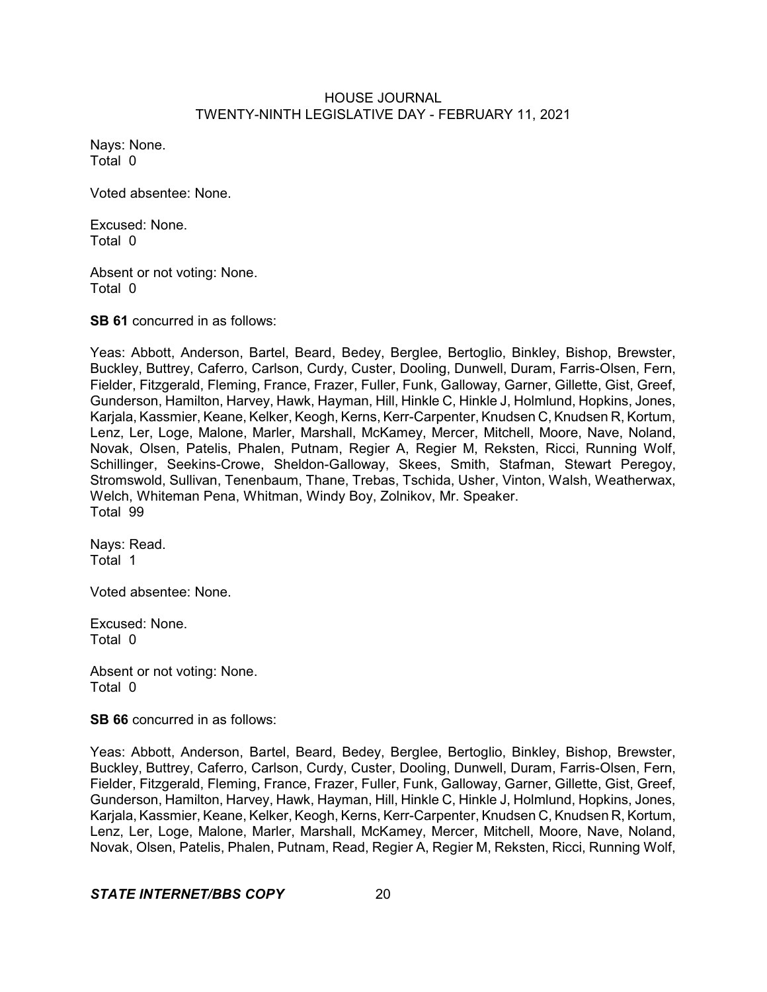Nays: None. Total 0

Voted absentee: None.

Excused: None. Total 0

Absent or not voting: None. Total 0

**SB 61** concurred in as follows:

Yeas: Abbott, Anderson, Bartel, Beard, Bedey, Berglee, Bertoglio, Binkley, Bishop, Brewster, Buckley, Buttrey, Caferro, Carlson, Curdy, Custer, Dooling, Dunwell, Duram, Farris-Olsen, Fern, Fielder, Fitzgerald, Fleming, France, Frazer, Fuller, Funk, Galloway, Garner, Gillette, Gist, Greef, Gunderson, Hamilton, Harvey, Hawk, Hayman, Hill, Hinkle C, Hinkle J, Holmlund, Hopkins, Jones, Karjala, Kassmier, Keane, Kelker, Keogh, Kerns, Kerr-Carpenter, Knudsen C, Knudsen R, Kortum, Lenz, Ler, Loge, Malone, Marler, Marshall, McKamey, Mercer, Mitchell, Moore, Nave, Noland, Novak, Olsen, Patelis, Phalen, Putnam, Regier A, Regier M, Reksten, Ricci, Running Wolf, Schillinger, Seekins-Crowe, Sheldon-Galloway, Skees, Smith, Stafman, Stewart Peregoy, Stromswold, Sullivan, Tenenbaum, Thane, Trebas, Tschida, Usher, Vinton, Walsh, Weatherwax, Welch, Whiteman Pena, Whitman, Windy Boy, Zolnikov, Mr. Speaker. Total 99

Nays: Read. Total 1

Voted absentee: None.

Excused: None. Total 0

Absent or not voting: None. Total 0

**SB 66** concurred in as follows:

Yeas: Abbott, Anderson, Bartel, Beard, Bedey, Berglee, Bertoglio, Binkley, Bishop, Brewster, Buckley, Buttrey, Caferro, Carlson, Curdy, Custer, Dooling, Dunwell, Duram, Farris-Olsen, Fern, Fielder, Fitzgerald, Fleming, France, Frazer, Fuller, Funk, Galloway, Garner, Gillette, Gist, Greef, Gunderson, Hamilton, Harvey, Hawk, Hayman, Hill, Hinkle C, Hinkle J, Holmlund, Hopkins, Jones, Karjala, Kassmier, Keane, Kelker, Keogh, Kerns, Kerr-Carpenter, Knudsen C, Knudsen R, Kortum, Lenz, Ler, Loge, Malone, Marler, Marshall, McKamey, Mercer, Mitchell, Moore, Nave, Noland, Novak, Olsen, Patelis, Phalen, Putnam, Read, Regier A, Regier M, Reksten, Ricci, Running Wolf,